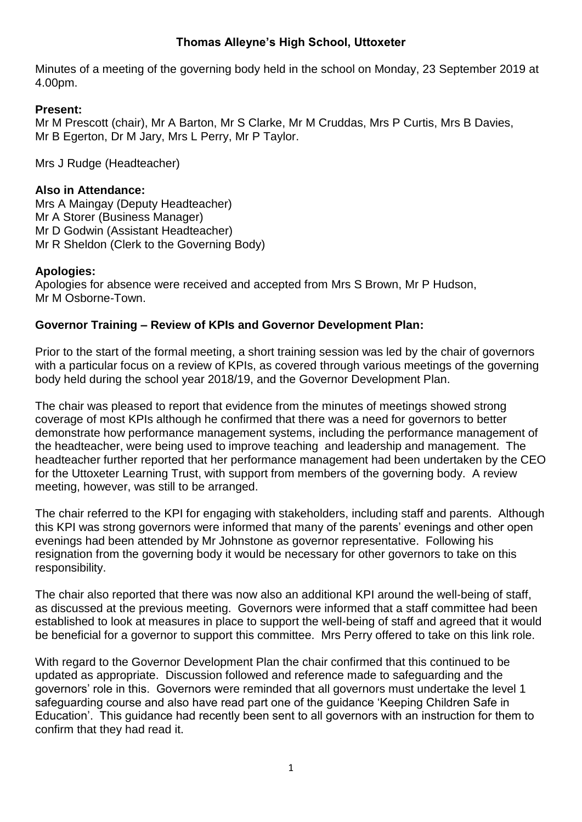# **Thomas Alleyne's High School, Uttoxeter**

Minutes of a meeting of the governing body held in the school on Monday, 23 September 2019 at 4.00pm.

# **Present:**

Mr M Prescott (chair), Mr A Barton, Mr S Clarke, Mr M Cruddas, Mrs P Curtis, Mrs B Davies, Mr B Egerton, Dr M Jary, Mrs L Perry, Mr P Taylor.

Mrs J Rudge (Headteacher)

# **Also in Attendance:**

Mrs A Maingay (Deputy Headteacher) Mr A Storer (Business Manager) Mr D Godwin (Assistant Headteacher) Mr R Sheldon (Clerk to the Governing Body)

# **Apologies:**

Apologies for absence were received and accepted from Mrs S Brown, Mr P Hudson, Mr M Osborne-Town.

# **Governor Training – Review of KPIs and Governor Development Plan:**

Prior to the start of the formal meeting, a short training session was led by the chair of governors with a particular focus on a review of KPIs, as covered through various meetings of the governing body held during the school year 2018/19, and the Governor Development Plan.

The chair was pleased to report that evidence from the minutes of meetings showed strong coverage of most KPIs although he confirmed that there was a need for governors to better demonstrate how performance management systems, including the performance management of the headteacher, were being used to improve teaching and leadership and management. The headteacher further reported that her performance management had been undertaken by the CEO for the Uttoxeter Learning Trust, with support from members of the governing body. A review meeting, however, was still to be arranged.

The chair referred to the KPI for engaging with stakeholders, including staff and parents. Although this KPI was strong governors were informed that many of the parents' evenings and other open evenings had been attended by Mr Johnstone as governor representative. Following his resignation from the governing body it would be necessary for other governors to take on this responsibility.

The chair also reported that there was now also an additional KPI around the well-being of staff, as discussed at the previous meeting. Governors were informed that a staff committee had been established to look at measures in place to support the well-being of staff and agreed that it would be beneficial for a governor to support this committee. Mrs Perry offered to take on this link role.

With regard to the Governor Development Plan the chair confirmed that this continued to be updated as appropriate. Discussion followed and reference made to safeguarding and the governors' role in this. Governors were reminded that all governors must undertake the level 1 safeguarding course and also have read part one of the guidance 'Keeping Children Safe in Education'. This guidance had recently been sent to all governors with an instruction for them to confirm that they had read it.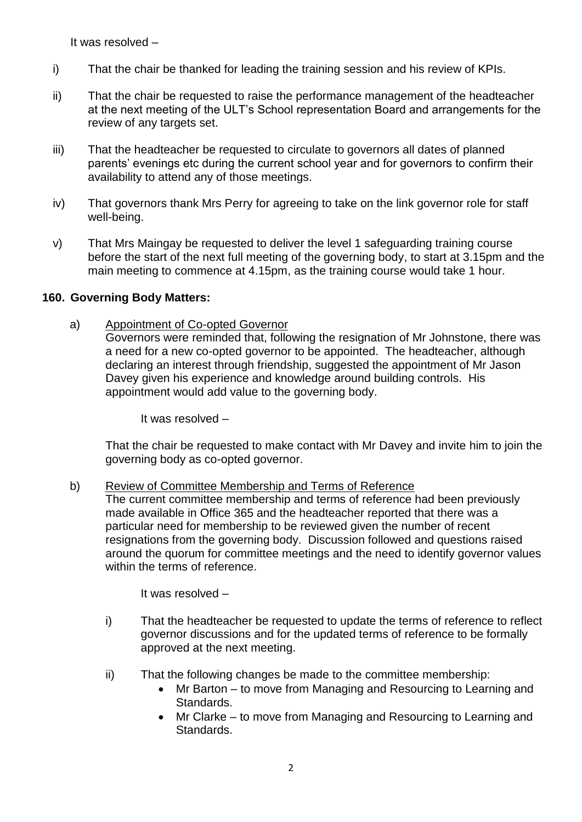It was resolved –

- i) That the chair be thanked for leading the training session and his review of KPIs.
- ii) That the chair be requested to raise the performance management of the headteacher at the next meeting of the ULT's School representation Board and arrangements for the review of any targets set.
- iii) That the headteacher be requested to circulate to governors all dates of planned parents' evenings etc during the current school year and for governors to confirm their availability to attend any of those meetings.
- iv) That governors thank Mrs Perry for agreeing to take on the link governor role for staff well-being.
- v) That Mrs Maingay be requested to deliver the level 1 safeguarding training course before the start of the next full meeting of the governing body, to start at 3.15pm and the main meeting to commence at 4.15pm, as the training course would take 1 hour.

## **160. Governing Body Matters:**

a) Appointment of Co-opted Governor

Governors were reminded that, following the resignation of Mr Johnstone, there was a need for a new co-opted governor to be appointed. The headteacher, although declaring an interest through friendship, suggested the appointment of Mr Jason Davey given his experience and knowledge around building controls. His appointment would add value to the governing body.

It was resolved –

That the chair be requested to make contact with Mr Davey and invite him to join the governing body as co-opted governor.

#### b) Review of Committee Membership and Terms of Reference

The current committee membership and terms of reference had been previously made available in Office 365 and the headteacher reported that there was a particular need for membership to be reviewed given the number of recent resignations from the governing body. Discussion followed and questions raised around the quorum for committee meetings and the need to identify governor values within the terms of reference.

It was resolved –

- i) That the headteacher be requested to update the terms of reference to reflect governor discussions and for the updated terms of reference to be formally approved at the next meeting.
- ii) That the following changes be made to the committee membership:
	- Mr Barton to move from Managing and Resourcing to Learning and Standards.
	- Mr Clarke to move from Managing and Resourcing to Learning and Standards.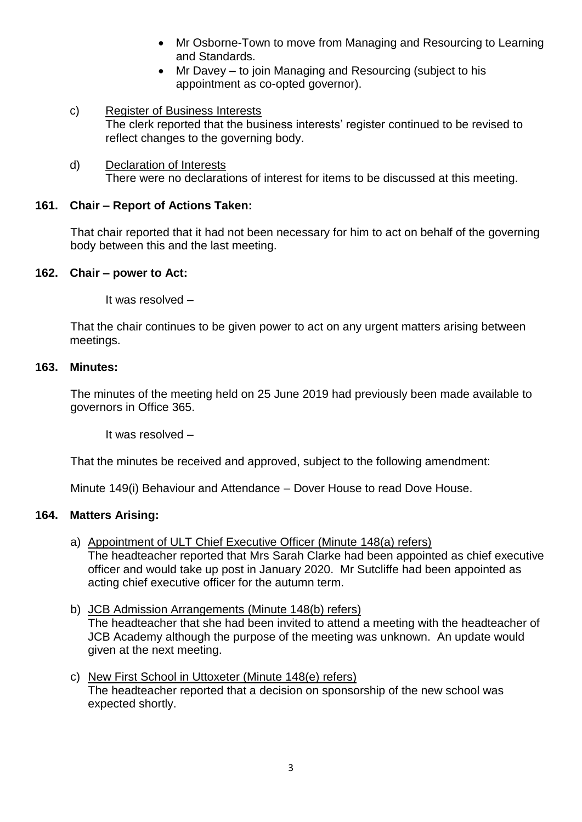- Mr Osborne-Town to move from Managing and Resourcing to Learning and Standards.
- Mr Davey to join Managing and Resourcing (subject to his appointment as co-opted governor).
- c) Register of Business Interests The clerk reported that the business interests' register continued to be revised to reflect changes to the governing body.
- d) Declaration of Interests There were no declarations of interest for items to be discussed at this meeting.

# **161. Chair – Report of Actions Taken:**

That chair reported that it had not been necessary for him to act on behalf of the governing body between this and the last meeting.

## **162. Chair – power to Act:**

It was resolved –

That the chair continues to be given power to act on any urgent matters arising between meetings.

## **163. Minutes:**

The minutes of the meeting held on 25 June 2019 had previously been made available to governors in Office 365.

It was resolved –

That the minutes be received and approved, subject to the following amendment:

Minute 149(i) Behaviour and Attendance – Dover House to read Dove House.

## **164. Matters Arising:**

a) Appointment of ULT Chief Executive Officer (Minute 148(a) refers)

The headteacher reported that Mrs Sarah Clarke had been appointed as chief executive officer and would take up post in January 2020. Mr Sutcliffe had been appointed as acting chief executive officer for the autumn term.

## b) JCB Admission Arrangements (Minute 148(b) refers) The headteacher that she had been invited to attend a meeting with the headteacher of JCB Academy although the purpose of the meeting was unknown. An update would given at the next meeting.

c) New First School in Uttoxeter (Minute 148(e) refers) The headteacher reported that a decision on sponsorship of the new school was expected shortly.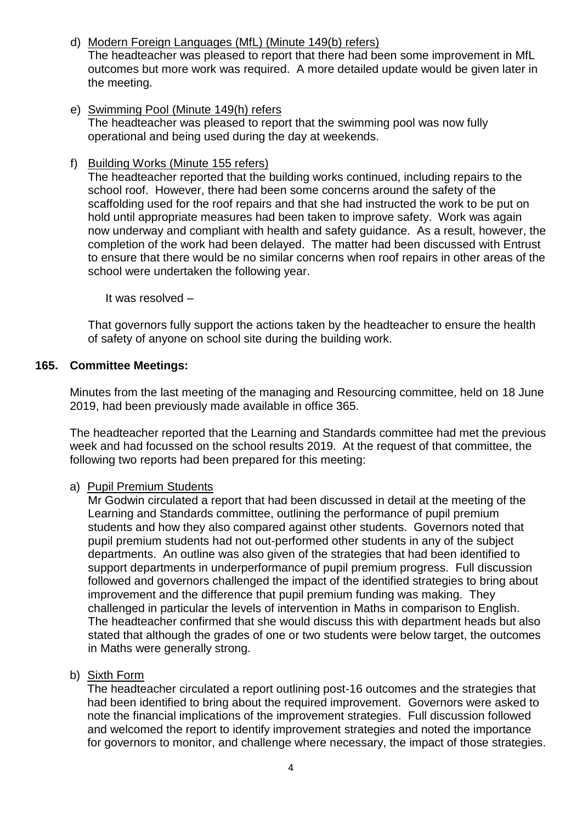- d) Modern Foreign Languages (MfL) (Minute 149(b) refers) The headteacher was pleased to report that there had been some improvement in MfL outcomes but more work was required. A more detailed update would be given later in the meeting.
- e) Swimming Pool (Minute 149(h) refers The headteacher was pleased to report that the swimming pool was now fully operational and being used during the day at weekends.
- f) Building Works (Minute 155 refers)

The headteacher reported that the building works continued, including repairs to the school roof. However, there had been some concerns around the safety of the scaffolding used for the roof repairs and that she had instructed the work to be put on hold until appropriate measures had been taken to improve safety. Work was again now underway and compliant with health and safety guidance. As a result, however, the completion of the work had been delayed. The matter had been discussed with Entrust to ensure that there would be no similar concerns when roof repairs in other areas of the school were undertaken the following year.

It was resolved –

That governors fully support the actions taken by the headteacher to ensure the health of safety of anyone on school site during the building work.

## **165. Committee Meetings:**

Minutes from the last meeting of the managing and Resourcing committee, held on 18 June 2019, had been previously made available in office 365.

The headteacher reported that the Learning and Standards committee had met the previous week and had focussed on the school results 2019. At the request of that committee, the following two reports had been prepared for this meeting:

## a) Pupil Premium Students

Mr Godwin circulated a report that had been discussed in detail at the meeting of the Learning and Standards committee, outlining the performance of pupil premium students and how they also compared against other students. Governors noted that pupil premium students had not out-performed other students in any of the subject departments. An outline was also given of the strategies that had been identified to support departments in underperformance of pupil premium progress. Full discussion followed and governors challenged the impact of the identified strategies to bring about improvement and the difference that pupil premium funding was making. They challenged in particular the levels of intervention in Maths in comparison to English. The headteacher confirmed that she would discuss this with department heads but also stated that although the grades of one or two students were below target, the outcomes in Maths were generally strong.

## b) Sixth Form

The headteacher circulated a report outlining post-16 outcomes and the strategies that had been identified to bring about the required improvement. Governors were asked to note the financial implications of the improvement strategies. Full discussion followed and welcomed the report to identify improvement strategies and noted the importance for governors to monitor, and challenge where necessary, the impact of those strategies.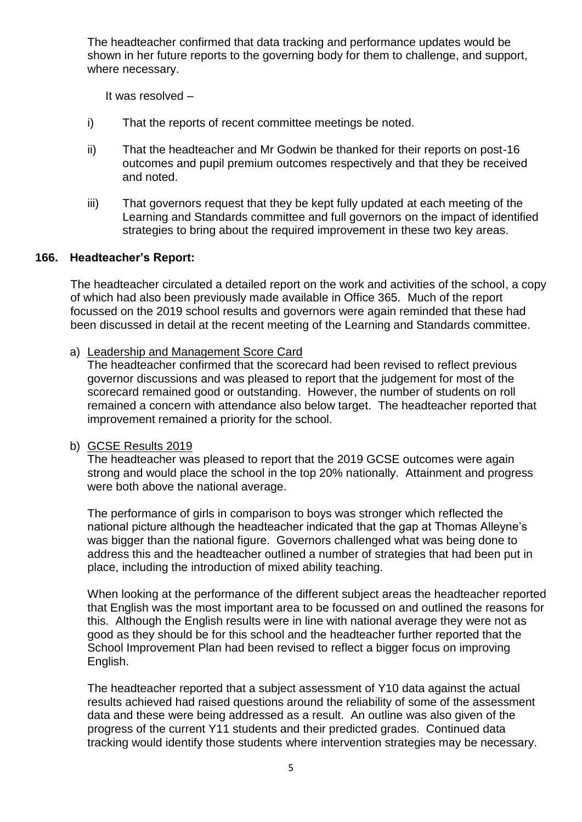The headteacher confirmed that data tracking and performance updates would be shown in her future reports to the governing body for them to challenge, and support, where necessary.

It was resolved –

- i) That the reports of recent committee meetings be noted.
- ii) That the headteacher and Mr Godwin be thanked for their reports on post-16 outcomes and pupil premium outcomes respectively and that they be received and noted.
- iii) That governors request that they be kept fully updated at each meeting of the Learning and Standards committee and full governors on the impact of identified strategies to bring about the required improvement in these two key areas.

## **166. Headteacher's Report:**

The headteacher circulated a detailed report on the work and activities of the school, a copy of which had also been previously made available in Office 365. Much of the report focussed on the 2019 school results and governors were again reminded that these had been discussed in detail at the recent meeting of the Learning and Standards committee.

## a) Leadership and Management Score Card

The headteacher confirmed that the scorecard had been revised to reflect previous governor discussions and was pleased to report that the judgement for most of the scorecard remained good or outstanding. However, the number of students on roll remained a concern with attendance also below target. The headteacher reported that improvement remained a priority for the school.

## b) GCSE Results 2019

The headteacher was pleased to report that the 2019 GCSE outcomes were again strong and would place the school in the top 20% nationally. Attainment and progress were both above the national average.

The performance of girls in comparison to boys was stronger which reflected the national picture although the headteacher indicated that the gap at Thomas Alleyne's was bigger than the national figure. Governors challenged what was being done to address this and the headteacher outlined a number of strategies that had been put in place, including the introduction of mixed ability teaching.

When looking at the performance of the different subject areas the headteacher reported that English was the most important area to be focussed on and outlined the reasons for this. Although the English results were in line with national average they were not as good as they should be for this school and the headteacher further reported that the School Improvement Plan had been revised to reflect a bigger focus on improving English.

The headteacher reported that a subject assessment of Y10 data against the actual results achieved had raised questions around the reliability of some of the assessment data and these were being addressed as a result. An outline was also given of the progress of the current Y11 students and their predicted grades. Continued data tracking would identify those students where intervention strategies may be necessary.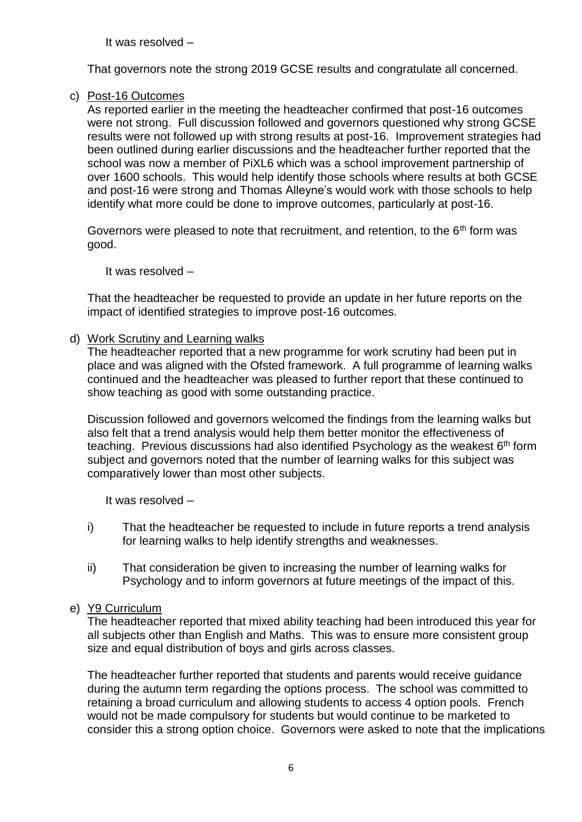It was resolved –

That governors note the strong 2019 GCSE results and congratulate all concerned.

# c) Post-16 Outcomes

As reported earlier in the meeting the headteacher confirmed that post-16 outcomes were not strong. Full discussion followed and governors questioned why strong GCSE results were not followed up with strong results at post-16. Improvement strategies had been outlined during earlier discussions and the headteacher further reported that the school was now a member of PiXL6 which was a school improvement partnership of over 1600 schools. This would help identify those schools where results at both GCSE and post-16 were strong and Thomas Alleyne's would work with those schools to help identify what more could be done to improve outcomes, particularly at post-16.

Governors were pleased to note that recruitment, and retention, to the  $6<sup>th</sup>$  form was good.

It was resolved –

That the headteacher be requested to provide an update in her future reports on the impact of identified strategies to improve post-16 outcomes.

#### d) Work Scrutiny and Learning walks

The headteacher reported that a new programme for work scrutiny had been put in place and was aligned with the Ofsted framework. A full programme of learning walks continued and the headteacher was pleased to further report that these continued to show teaching as good with some outstanding practice.

Discussion followed and governors welcomed the findings from the learning walks but also felt that a trend analysis would help them better monitor the effectiveness of teaching. Previous discussions had also identified Psychology as the weakest  $6<sup>th</sup>$  form subject and governors noted that the number of learning walks for this subject was comparatively lower than most other subjects.

It was resolved –

- i) That the headteacher be requested to include in future reports a trend analysis for learning walks to help identify strengths and weaknesses.
- ii) That consideration be given to increasing the number of learning walks for Psychology and to inform governors at future meetings of the impact of this.

## e) Y9 Curriculum

The headteacher reported that mixed ability teaching had been introduced this year for all subjects other than English and Maths. This was to ensure more consistent group size and equal distribution of boys and girls across classes.

The headteacher further reported that students and parents would receive guidance during the autumn term regarding the options process. The school was committed to retaining a broad curriculum and allowing students to access 4 option pools. French would not be made compulsory for students but would continue to be marketed to consider this a strong option choice. Governors were asked to note that the implications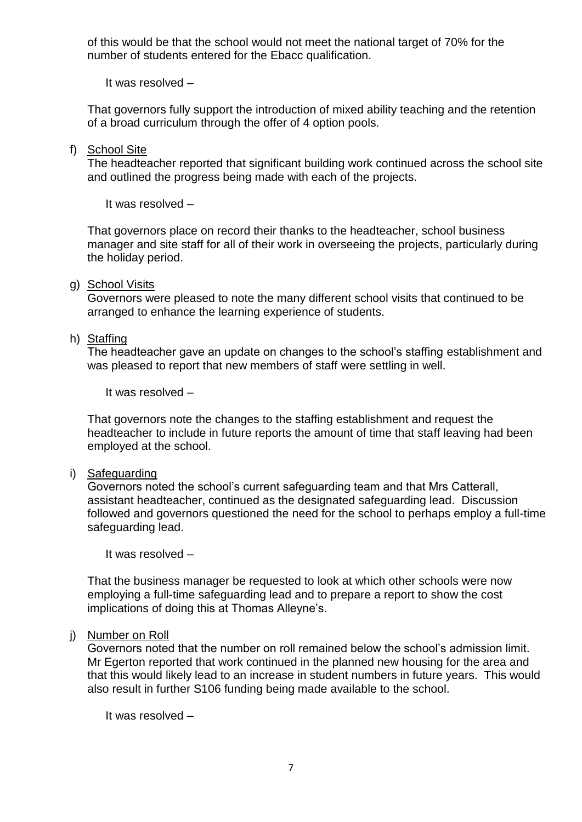of this would be that the school would not meet the national target of 70% for the number of students entered for the Ebacc qualification.

It was resolved –

That governors fully support the introduction of mixed ability teaching and the retention of a broad curriculum through the offer of 4 option pools.

#### f) School Site

The headteacher reported that significant building work continued across the school site and outlined the progress being made with each of the projects.

It was resolved –

That governors place on record their thanks to the headteacher, school business manager and site staff for all of their work in overseeing the projects, particularly during the holiday period.

#### g) School Visits

Governors were pleased to note the many different school visits that continued to be arranged to enhance the learning experience of students.

## h) Staffing

The headteacher gave an update on changes to the school's staffing establishment and was pleased to report that new members of staff were settling in well.

It was resolved –

That governors note the changes to the staffing establishment and request the headteacher to include in future reports the amount of time that staff leaving had been employed at the school.

#### i) Safeguarding

Governors noted the school's current safeguarding team and that Mrs Catterall, assistant headteacher, continued as the designated safeguarding lead. Discussion followed and governors questioned the need for the school to perhaps employ a full-time safeguarding lead.

It was resolved –

That the business manager be requested to look at which other schools were now employing a full-time safeguarding lead and to prepare a report to show the cost implications of doing this at Thomas Alleyne's.

#### j) Number on Roll

Governors noted that the number on roll remained below the school's admission limit. Mr Egerton reported that work continued in the planned new housing for the area and that this would likely lead to an increase in student numbers in future years. This would also result in further S106 funding being made available to the school.

It was resolved –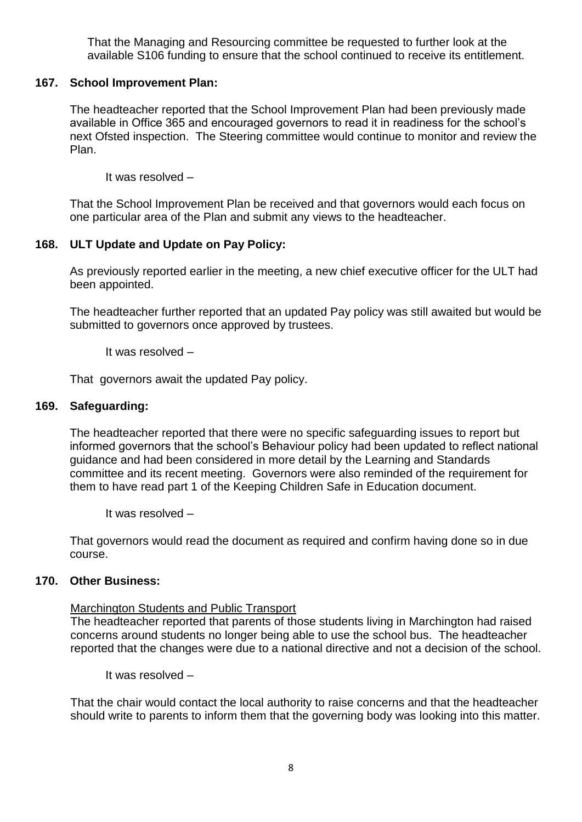That the Managing and Resourcing committee be requested to further look at the available S106 funding to ensure that the school continued to receive its entitlement.

## **167. School Improvement Plan:**

The headteacher reported that the School Improvement Plan had been previously made available in Office 365 and encouraged governors to read it in readiness for the school's next Ofsted inspection. The Steering committee would continue to monitor and review the Plan.

It was resolved –

That the School Improvement Plan be received and that governors would each focus on one particular area of the Plan and submit any views to the headteacher.

## **168. ULT Update and Update on Pay Policy:**

As previously reported earlier in the meeting, a new chief executive officer for the ULT had been appointed.

The headteacher further reported that an updated Pay policy was still awaited but would be submitted to governors once approved by trustees.

It was resolved –

That governors await the updated Pay policy.

### **169. Safeguarding:**

The headteacher reported that there were no specific safeguarding issues to report but informed governors that the school's Behaviour policy had been updated to reflect national guidance and had been considered in more detail by the Learning and Standards committee and its recent meeting. Governors were also reminded of the requirement for them to have read part 1 of the Keeping Children Safe in Education document.

It was resolved –

That governors would read the document as required and confirm having done so in due course.

## **170. Other Business:**

## Marchington Students and Public Transport

The headteacher reported that parents of those students living in Marchington had raised concerns around students no longer being able to use the school bus. The headteacher reported that the changes were due to a national directive and not a decision of the school.

It was resolved –

That the chair would contact the local authority to raise concerns and that the headteacher should write to parents to inform them that the governing body was looking into this matter.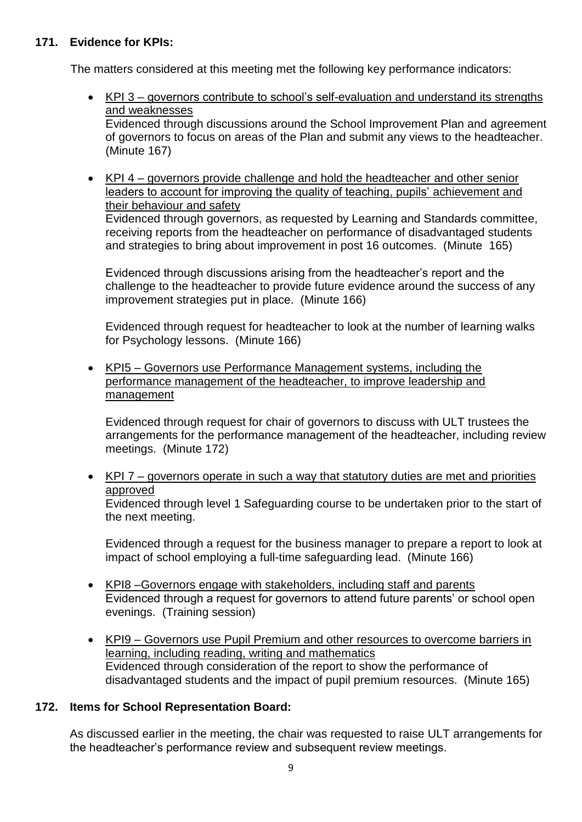# **171. Evidence for KPIs:**

The matters considered at this meeting met the following key performance indicators:

- KPI 3 governors contribute to school's self-evaluation and understand its strengths and weaknesses Evidenced through discussions around the School Improvement Plan and agreement of governors to focus on areas of the Plan and submit any views to the headteacher. (Minute 167)
- KPI 4 governors provide challenge and hold the headteacher and other senior leaders to account for improving the quality of teaching, pupils' achievement and their behaviour and safety Evidenced through governors, as requested by Learning and Standards committee, receiving reports from the headteacher on performance of disadvantaged students and strategies to bring about improvement in post 16 outcomes. (Minute 165)

Evidenced through discussions arising from the headteacher's report and the challenge to the headteacher to provide future evidence around the success of any improvement strategies put in place. (Minute 166)

Evidenced through request for headteacher to look at the number of learning walks for Psychology lessons. (Minute 166)

• KPI5 – Governors use Performance Management systems, including the performance management of the headteacher, to improve leadership and management

Evidenced through request for chair of governors to discuss with ULT trustees the arrangements for the performance management of the headteacher, including review meetings. (Minute 172)

• KPI 7 – governors operate in such a way that statutory duties are met and priorities approved Evidenced through level 1 Safeguarding course to be undertaken prior to the start of the next meeting.

Evidenced through a request for the business manager to prepare a report to look at impact of school employing a full-time safeguarding lead. (Minute 166)

- KPI8 –Governors engage with stakeholders, including staff and parents Evidenced through a request for governors to attend future parents' or school open evenings. (Training session)
- KPI9 Governors use Pupil Premium and other resources to overcome barriers in learning, including reading, writing and mathematics Evidenced through consideration of the report to show the performance of disadvantaged students and the impact of pupil premium resources. (Minute 165)

# **172. Items for School Representation Board:**

As discussed earlier in the meeting, the chair was requested to raise ULT arrangements for the headteacher's performance review and subsequent review meetings.